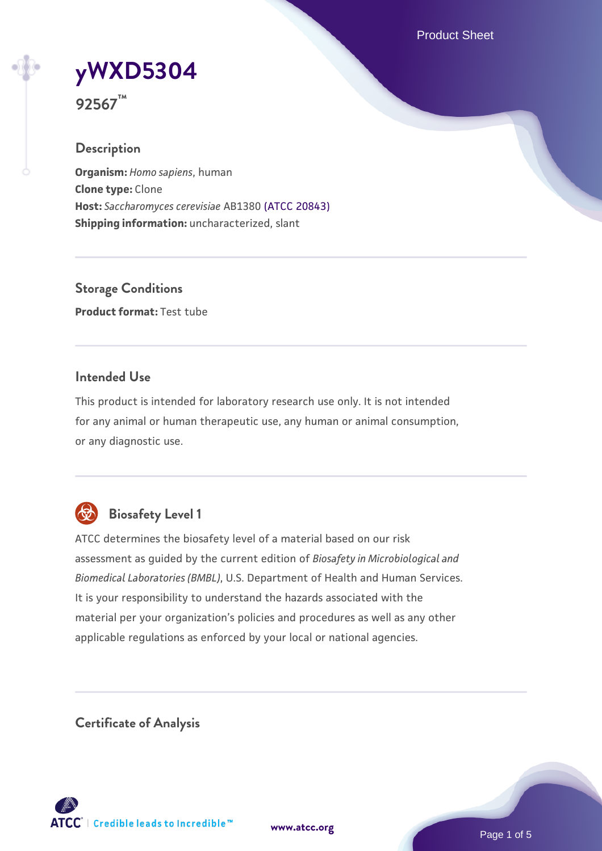Product Sheet

# **[yWXD5304](https://www.atcc.org/products/92567)**

**92567™**

## **Description**

**Organism:** *Homo sapiens*, human **Clone type:** Clone **Host:** *Saccharomyces cerevisiae* AB1380 [\(ATCC 20843\)](https://www.atcc.org/products/20843) **Shipping information:** uncharacterized, slant

**Storage Conditions Product format:** Test tube

## **Intended Use**

This product is intended for laboratory research use only. It is not intended for any animal or human therapeutic use, any human or animal consumption, or any diagnostic use.



## **Biosafety Level 1**

ATCC determines the biosafety level of a material based on our risk assessment as guided by the current edition of *Biosafety in Microbiological and Biomedical Laboratories (BMBL)*, U.S. Department of Health and Human Services. It is your responsibility to understand the hazards associated with the material per your organization's policies and procedures as well as any other applicable regulations as enforced by your local or national agencies.

**Certificate of Analysis**

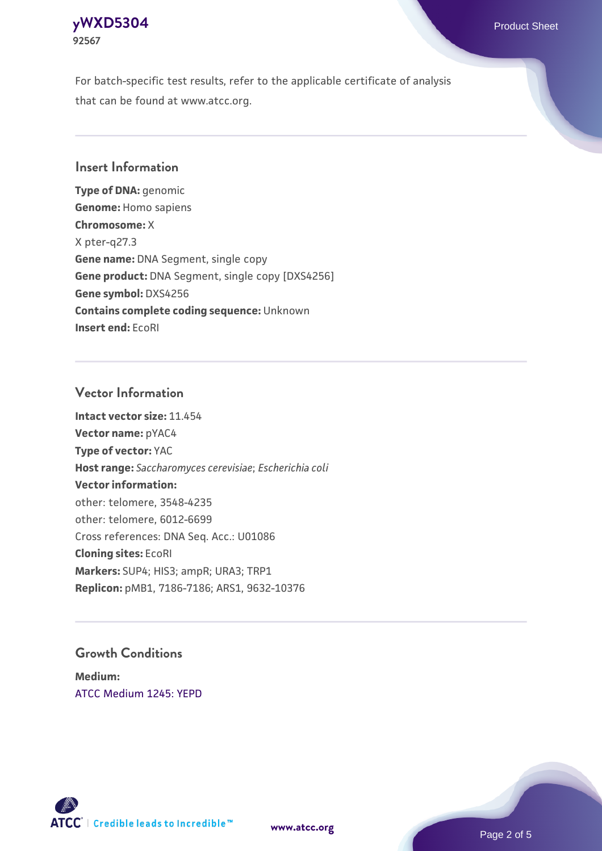## **[yWXD5304](https://www.atcc.org/products/92567)** Product Sheet **92567**

For batch-specific test results, refer to the applicable certificate of analysis that can be found at www.atcc.org.

## **Insert Information**

**Type of DNA:** genomic **Genome:** Homo sapiens **Chromosome:** X X pter-q27.3 **Gene name:** DNA Segment, single copy **Gene product:** DNA Segment, single copy [DXS4256] **Gene symbol:** DXS4256 **Contains complete coding sequence:** Unknown **Insert end:** EcoRI

## **Vector Information**

**Intact vector size:** 11.454 **Vector name:** pYAC4 **Type of vector:** YAC **Host range:** *Saccharomyces cerevisiae*; *Escherichia coli* **Vector information:** other: telomere, 3548-4235 other: telomere, 6012-6699 Cross references: DNA Seq. Acc.: U01086 **Cloning sites:** EcoRI **Markers:** SUP4; HIS3; ampR; URA3; TRP1 **Replicon:** pMB1, 7186-7186; ARS1, 9632-10376

## **Growth Conditions**

**Medium:**  [ATCC Medium 1245: YEPD](https://www.atcc.org/-/media/product-assets/documents/microbial-media-formulations/1/2/4/5/atcc-medium-1245.pdf?rev=705ca55d1b6f490a808a965d5c072196)



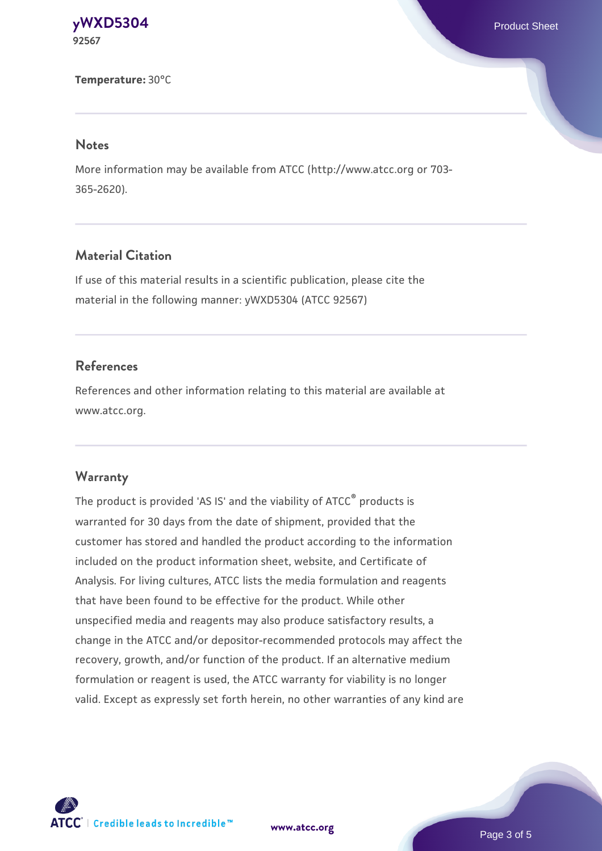#### **[yWXD5304](https://www.atcc.org/products/92567)** Product Sheet **92567**

#### **Temperature:** 30°C

#### **Notes**

More information may be available from ATCC (http://www.atcc.org or 703- 365-2620).

## **Material Citation**

If use of this material results in a scientific publication, please cite the material in the following manner: yWXD5304 (ATCC 92567)

## **References**

References and other information relating to this material are available at www.atcc.org.

#### **Warranty**

The product is provided 'AS IS' and the viability of ATCC® products is warranted for 30 days from the date of shipment, provided that the customer has stored and handled the product according to the information included on the product information sheet, website, and Certificate of Analysis. For living cultures, ATCC lists the media formulation and reagents that have been found to be effective for the product. While other unspecified media and reagents may also produce satisfactory results, a change in the ATCC and/or depositor-recommended protocols may affect the recovery, growth, and/or function of the product. If an alternative medium formulation or reagent is used, the ATCC warranty for viability is no longer valid. Except as expressly set forth herein, no other warranties of any kind are



**[www.atcc.org](http://www.atcc.org)**

Page 3 of 5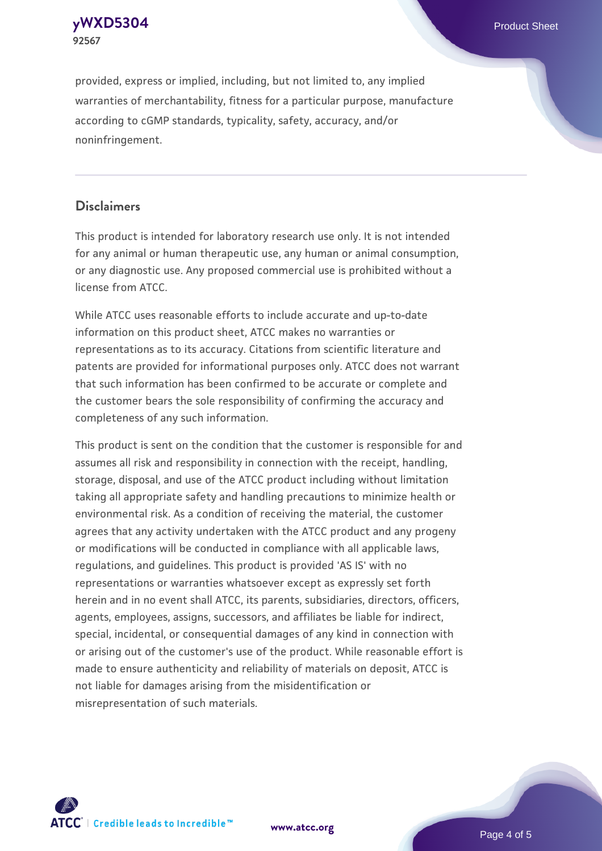**[yWXD5304](https://www.atcc.org/products/92567)** Product Sheet **92567**

provided, express or implied, including, but not limited to, any implied warranties of merchantability, fitness for a particular purpose, manufacture according to cGMP standards, typicality, safety, accuracy, and/or noninfringement.

## **Disclaimers**

This product is intended for laboratory research use only. It is not intended for any animal or human therapeutic use, any human or animal consumption, or any diagnostic use. Any proposed commercial use is prohibited without a license from ATCC.

While ATCC uses reasonable efforts to include accurate and up-to-date information on this product sheet, ATCC makes no warranties or representations as to its accuracy. Citations from scientific literature and patents are provided for informational purposes only. ATCC does not warrant that such information has been confirmed to be accurate or complete and the customer bears the sole responsibility of confirming the accuracy and completeness of any such information.

This product is sent on the condition that the customer is responsible for and assumes all risk and responsibility in connection with the receipt, handling, storage, disposal, and use of the ATCC product including without limitation taking all appropriate safety and handling precautions to minimize health or environmental risk. As a condition of receiving the material, the customer agrees that any activity undertaken with the ATCC product and any progeny or modifications will be conducted in compliance with all applicable laws, regulations, and guidelines. This product is provided 'AS IS' with no representations or warranties whatsoever except as expressly set forth herein and in no event shall ATCC, its parents, subsidiaries, directors, officers, agents, employees, assigns, successors, and affiliates be liable for indirect, special, incidental, or consequential damages of any kind in connection with or arising out of the customer's use of the product. While reasonable effort is made to ensure authenticity and reliability of materials on deposit, ATCC is not liable for damages arising from the misidentification or misrepresentation of such materials.



**[www.atcc.org](http://www.atcc.org)**

Page 4 of 5